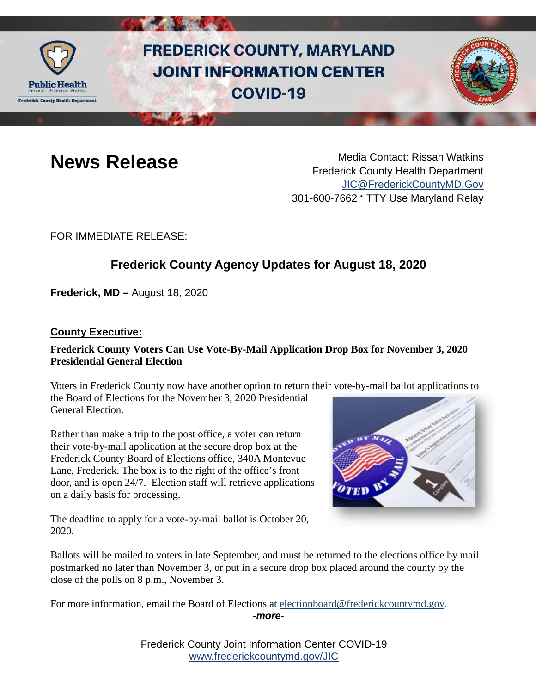

# **FREDERICK COUNTY, MARYLAND JOINT INFORMATION CENTER COVID-19**



**News Release** Media Contact: Rissah Watkins Frederick County Health Department [JIC@FrederickCountyMD.Gov](mailto:JIC@FrederickCountyMD.Gov) 301-600-7662 • TTY Use Maryland Relay

FOR IMMEDIATE RELEASE:

## **Frederick County Agency Updates for August 18, 2020**

**Frederick, MD –** August 18, 2020

#### **County Executive:**

#### **Frederick County Voters Can Use Vote-By-Mail Application Drop Box for November 3, 2020 Presidential General Election**

Voters in Frederick County now have another option to return their vote-by-mail ballot applications to the Board of Elections for the November 3, 2020 Presidential General Election.

Rather than make a trip to the post office, a voter can return their vote-by-mail application at the secure drop box at the Frederick County Board of Elections office, 340A Montevue Lane, Frederick. The box is to the right of the office's front door, and is open 24/7. Election staff will retrieve applications on a daily basis for processing.



The deadline to apply for a vote-by-mail ballot is October 20, 2020.

Ballots will be mailed to voters in late September, and must be returned to the elections office by mail postmarked no later than November 3, or put in a secure drop box placed around the county by the close of the polls on 8 p.m., November 3.

For more information, email the Board of Elections at [electionboard@frederickcountymd.gov.](mailto:electionboard@frederickcountymd.gov) *-more-*

> Frederick County Joint Information Center COVID-19 [www.frederickcountymd.gov/JIC](https://frederickcountymd.gov/JIC)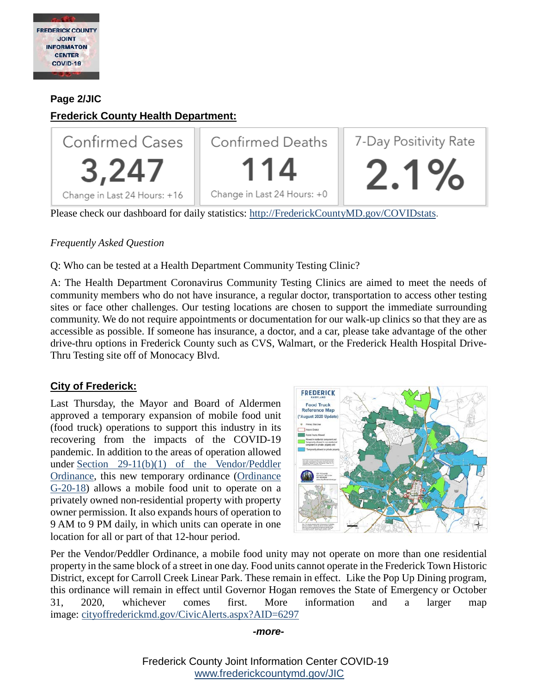

#### **Page 2/JIC**

### **Frederick County Health Department:**



Please check our dashboard for daily statistics: [http://FrederickCountyMD.gov/COVIDstats.](http://frederickcountymd.gov/COVIDstats)

#### *Frequently Asked Question*

Q: Who can be tested at a Health Department Community Testing Clinic?

A: The Health Department Coronavirus Community Testing Clinics are aimed to meet the needs of community members who do not have insurance, a regular doctor, transportation to access other testing sites or face other challenges. Our testing locations are chosen to support the immediate surrounding community. We do not require appointments or documentation for our walk-up clinics so that they are as accessible as possible. If someone has insurance, a doctor, and a car, please take advantage of the other drive-thru options in Frederick County such as CVS, Walmart, or the Frederick Health Hospital Drive-Thru Testing site off of Monocacy Blvd.

#### **City of Frederick:**

Last Thursday, the Mayor and Board of Aldermen approved a temporary expansion of mobile food unit (food truck) operations to support this industry in its recovering from the impacts of the COVID-19 pandemic. In addition to the areas of operation allowed under [Section 29-11\(b\)\(1\) of the Vendor/Peddler](https://library.municode.com/md/frederick/codes/code_of_ordinances?nodeId=PTIITHCO_CH29SAFOOTGO_ARTIIVEPE_S29-11AROP)  [Ordinance,](https://library.municode.com/md/frederick/codes/code_of_ordinances?nodeId=PTIITHCO_CH29SAFOOTGO_ARTIIVEPE_S29-11AROP) this new temporary ordinance [\(Ordinance](https://www.cityoffrederickmd.gov/DocumentCenter/View/18215/G-20-18-concerning-Temporary-Expansion-of-Mobile-Food-Unit-Operators)  [G-20-18\)](https://www.cityoffrederickmd.gov/DocumentCenter/View/18215/G-20-18-concerning-Temporary-Expansion-of-Mobile-Food-Unit-Operators) allows a mobile food unit to operate on a privately owned non-residential property with property owner permission. It also expands hours of operation to 9 AM to 9 PM daily, in which units can operate in one location for all or part of that 12-hour period.



Per the Vendor/Peddler Ordinance, a mobile food unity may not operate on more than one residential property in the same block of a street in one day. Food units cannot operate in the Frederick Town Historic District, except for Carroll Creek Linear Park. These remain in effect. Like the Pop Up Dining program, this ordinance will remain in effect until Governor Hogan removes the State of Emergency or October 31, 2020, whichever comes first. More information and a larger map image: [cityoffrederickmd.gov/CivicAlerts.aspx?AID=6297](http://cityoffrederickmd.gov/CivicAlerts.aspx?AID=6297&fbclid=IwAR0gaEE9NFZysSosoDHH6e30UmyjSCSU_wyTMSSxlDVmvJ_4VIgC6Ae5Qr4)

#### *-more-*

Frederick County Joint Information Center COVID-19 [www.frederickcountymd.gov/JIC](https://frederickcountymd.gov/JIC)